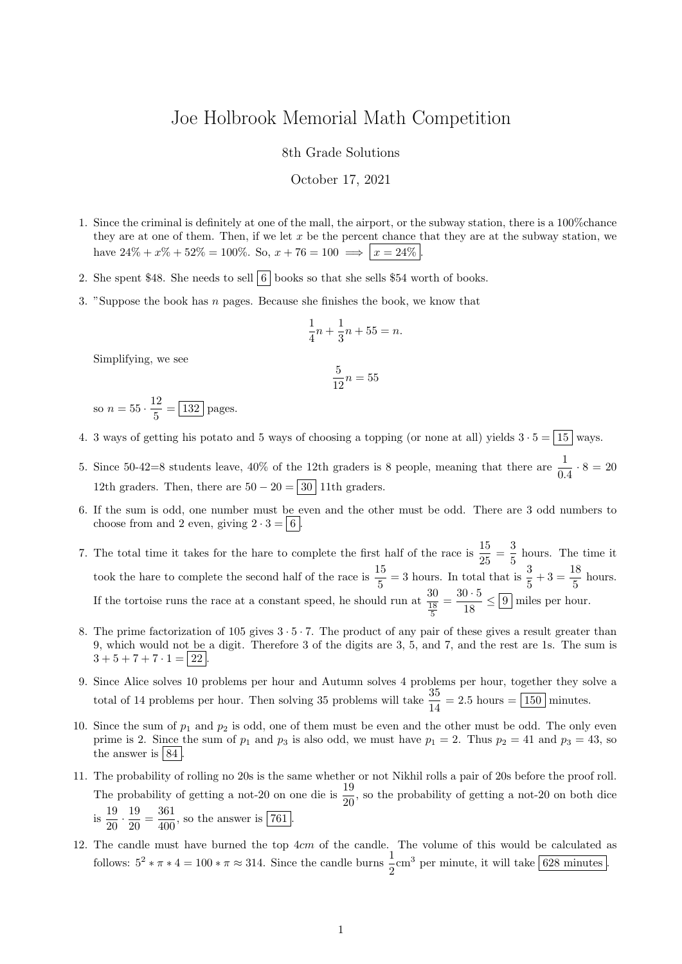## Joe Holbrook Memorial Math Competition

8th Grade Solutions

October 17, 2021

- 1. Since the criminal is definitely at one of the mall, the airport, or the subway station, there is a 100%chance they are at one of them. Then, if we let  $x$  be the percent chance that they are at the subway station, we have  $24\% + x\% + 52\% = 100\%$ . So,  $x + 76 = 100 \implies |x = 24\%|$
- 2. She spent \$48. She needs to sell  $\boxed{6}$  books so that she sells \$54 worth of books.
- 3. "Suppose the book has n pages. Because she finishes the book, we know that

$$
\frac{1}{4}n + \frac{1}{3}n + 55 = n.
$$

Simplifying, we see

$$
\frac{5}{12}n = 55
$$

so  $n = 55 \cdot \frac{12}{5}$  $\frac{12}{5} = \boxed{132}$  pages.

- 4. 3 ways of getting his potato and 5 ways of choosing a topping (or none at all) yields  $3 \cdot 5 = \boxed{15}$  wavs.
- 5. Since 50-42=8 students leave, 40% of the 12th graders is 8 people, meaning that there are  $\frac{1}{0.4} \cdot 8 = 20$ 12th graders. Then, there are  $50 - 20 = 30$  11th graders.
- 6. If the sum is odd, one number must be even and the other must be odd. There are 3 odd numbers to choose from and 2 even, giving  $2 \cdot 3 = 6$ .
- 7. The total time it takes for the hare to complete the first half of the race is  $\frac{15}{25} = \frac{3}{5}$  $\frac{3}{5}$  hours. The time it took the hare to complete the second half of the race is  $\frac{15}{5} = 3$  hours. In total that is  $\frac{3}{5} + 3 = \frac{18}{5}$  $rac{16}{5}$  hours. If the tortoise runs the race at a constant speed, he should run at  $\frac{30}{\frac{18}{5}}$  $=\frac{30 \cdot 5}{10}$  $\frac{6}{18} \leq 9$  miles per hour.
- 8. The prime factorization of 105 gives  $3 \cdot 5 \cdot 7$ . The product of any pair of these gives a result greater than 9, which would not be a digit. Therefore 3 of the digits are 3, 5, and 7, and the rest are 1s. The sum is  $3+5+7+7\cdot 1 = |22|$ .
- 9. Since Alice solves 10 problems per hour and Autumn solves 4 problems per hour, together they solve a total of 14 problems per hour. Then solving 35 problems will take  $\frac{35}{14} = 2.5$  hours  $= 150$  minutes.
- 10. Since the sum of  $p_1$  and  $p_2$  is odd, one of them must be even and the other must be odd. The only even prime is 2. Since the sum of  $p_1$  and  $p_3$  is also odd, we must have  $p_1 = 2$ . Thus  $p_2 = 41$  and  $p_3 = 43$ , so the answer is  $84$ .
- 11. The probability of rolling no 20s is the same whether or not Nikhil rolls a pair of 20s before the proof roll. The probability of getting a not-20 on one die is  $\frac{19}{20}$ , so the probability of getting a not-20 on both dice  $\frac{19}{20}$  $\frac{19}{20} \cdot \frac{19}{20}$  $\frac{19}{20} = \frac{361}{400}$  $\frac{361}{400}$ , so the answer is  $\boxed{761}$ .
- 12. The candle must have burned the top  $4cm$  of the candle. The volume of this would be calculated as follows:  $5^2 * \pi * 4 = 100 * \pi \approx 314$ . Since the candle burns  $\frac{1}{2}$ cm<sup>3</sup> per minute, it will take 628 minutes.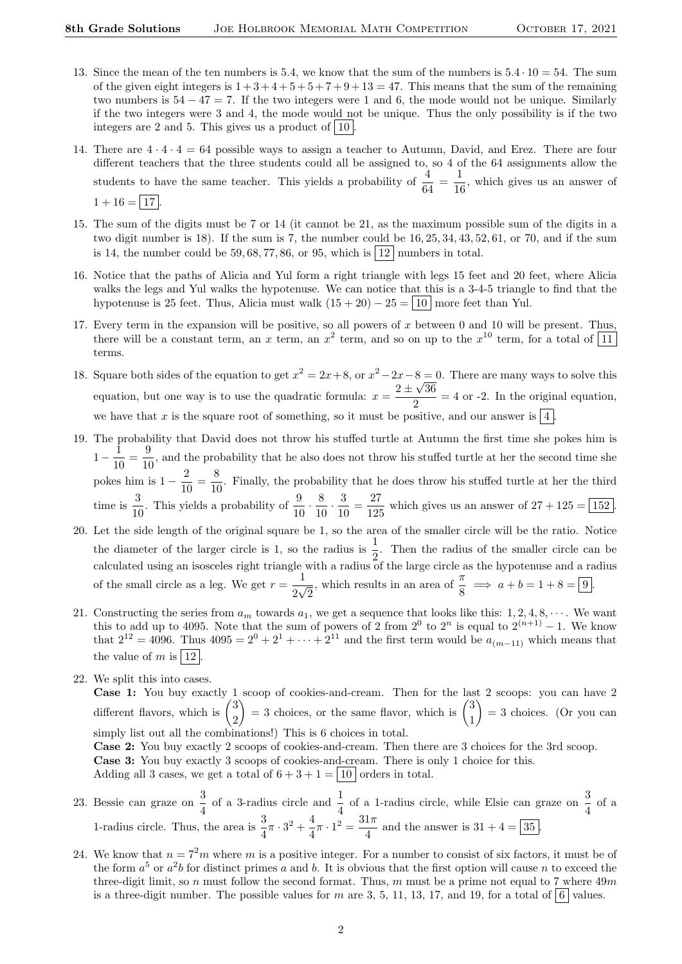- 13. Since the mean of the ten numbers is 5.4, we know that the sum of the numbers is  $5.4 \cdot 10 = 54$ . The sum of the given eight integers is  $1+3+4+5+5+7+9+13=47$ . This means that the sum of the remaining two numbers is  $54 - 47 = 7$ . If the two integers were 1 and 6, the mode would not be unique. Similarly if the two integers were 3 and 4, the mode would not be unique. Thus the only possibility is if the two integers are 2 and 5. This gives us a product of  $|10|$ .
- 14. There are  $4 \cdot 4 \cdot 4 = 64$  possible ways to assign a teacher to Autumn, David, and Erez. There are four different teachers that the three students could all be assigned to, so 4 of the 64 assignments allow the students to have the same teacher. This yields a probability of  $\frac{4}{64} = \frac{1}{16}$  $\frac{1}{16}$ , which gives us an answer of  $1 + 16 = \boxed{17}$
- 15. The sum of the digits must be 7 or 14 (it cannot be 21, as the maximum possible sum of the digits in a two digit number is 18). If the sum is 7, the number could be 16, 25, 34, 43, 52, 61, or 70, and if the sum is 14, the number could be 59, 68, 77, 86, or 95, which is  $|12|$  numbers in total.
- 16. Notice that the paths of Alicia and Yul form a right triangle with legs 15 feet and 20 feet, where Alicia walks the legs and Yul walks the hypotenuse. We can notice that this is a 3-4-5 triangle to find that the hypotenuse is 25 feet. Thus, Alicia must walk  $(15 + 20) - 25 = 10$  more feet than Yul.
- 17. Every term in the expansion will be positive, so all powers of  $x$  between 0 and 10 will be present. Thus, there will be a constant term, an x term, an  $x^2$  term, and so on up to the  $x^{10}$  term, for a total of  $\boxed{11}$ terms.
- 18. Square both sides of the equation to get  $x^2 = 2x + 8$ , or  $x^2 2x 8 = 0$ . There are many ways to solve this equation, but one way is to use the quadratic formula:  $x = \frac{2 \pm \sqrt{36}}{2}$  $\frac{\sqrt{30}}{2}$  = 4 or -2. In the original equation, we have that x is the square root of something, so it must be positive, and our answer is  $\frac{1}{4}$
- 19. The probability that David does not throw his stuffed turtle at Autumn the first time she pokes him is  $1 - \frac{1}{16}$  $\frac{1}{10} = \frac{9}{10}$  $\frac{0}{10}$ , and the probability that he also does not throw his stuffed turtle at her the second time she pokes him is  $1 - \frac{2}{10}$  $\frac{2}{10} = \frac{8}{10}$  $\frac{0}{10}$ . Finally, the probability that he does throw his stuffed turtle at her the third time is  $\frac{3}{16}$  $\frac{3}{10}$ . This yields a probability of  $\frac{9}{10} \cdot \frac{8}{10}$  $\frac{8}{10} \cdot \frac{3}{10}$  $\frac{3}{10} = \frac{27}{125}$  $\frac{21}{125}$  which gives us an answer of  $27 + 125 = \boxed{152}$ .
- 20. Let the side length of the original square be 1, so the area of the smaller circle will be the ratio. Notice the diameter of the larger circle is 1, so the radius is  $\frac{1}{2}$ . Then the radius of the smaller circle can be calculated using an isosceles right triangle with a radius of the large circle as the hypotenuse and a radius calculated using an isosceles right triangle with a radius of the large circle as the hypotenuse and a radius of the small circle as a leg. We get  $r = \frac{1}{2}$ 2  $\frac{1}{\sqrt{2}}$  $\frac{\pi}{2}$ , which results in an area of  $\frac{\pi}{8} \implies a + b = 1 + 8 = 9$ .
- 21. Constructing the series from  $a_m$  towards  $a_1$ , we get a sequence that looks like this: 1, 2, 4, 8,  $\dots$ . We want this to add up to 4095. Note that the sum of powers of 2 from  $2^0$  to  $2^n$  is equal to  $2^{(n+1)} - 1$ . We know that  $2^{12} = 4096$ . Thus  $4095 = 2^{0} + 2^{1} + \cdots + 2^{11}$  and the first term would be  $a_{(m-11)}$  which means that the value of m is  $\boxed{12}$ .
- 22. We split this into cases.

Case 1: You buy exactly 1 scoop of cookies-and-cream. Then for the last 2 scoops: you can have 2 different flavors, which is  $\binom{3}{3}$ 2  $= 3$  choices, or the same flavor, which is  $\binom{3}{4}$ 1  $\Big) = 3$  choices. (Or you can simply list out all the combinations!) This is 6 choices in total.

Case 2: You buy exactly 2 scoops of cookies-and-cream. Then there are 3 choices for the 3rd scoop.

Case 3: You buy exactly 3 scoops of cookies-and-cream. There is only 1 choice for this. Adding all 3 cases, we get a total of  $6 + 3 + 1 = |10|$  orders in total.

- 23. Bessie can graze on  $\frac{3}{4}$  of a 3-radius circle and  $\frac{1}{4}$  of a 1-radius circle, while Elsie can graze on  $\frac{3}{4}$  of a 1-radius circle. Thus, the area is  $\frac{3}{4}\pi \cdot 3^2 + \frac{4}{4}$  $\frac{4}{4}\pi \cdot 1^2 = \frac{31\pi}{4}$  $\frac{47}{4}$  and the answer is  $31 + 4 = 35$ .
- 24. We know that  $n = 7<sup>2</sup>m$  where m is a positive integer. For a number to consist of six factors, it must be of the form  $a^5$  or  $a^2b$  for distinct primes a and b. It is obvious that the first option will cause n to exceed the three-digit limit, so n must follow the second format. Thus, m must be a prime not equal to 7 where  $49m$ is a three-digit number. The possible values for m are 3, 5, 11, 13, 17, and 19, for a total of 6 values.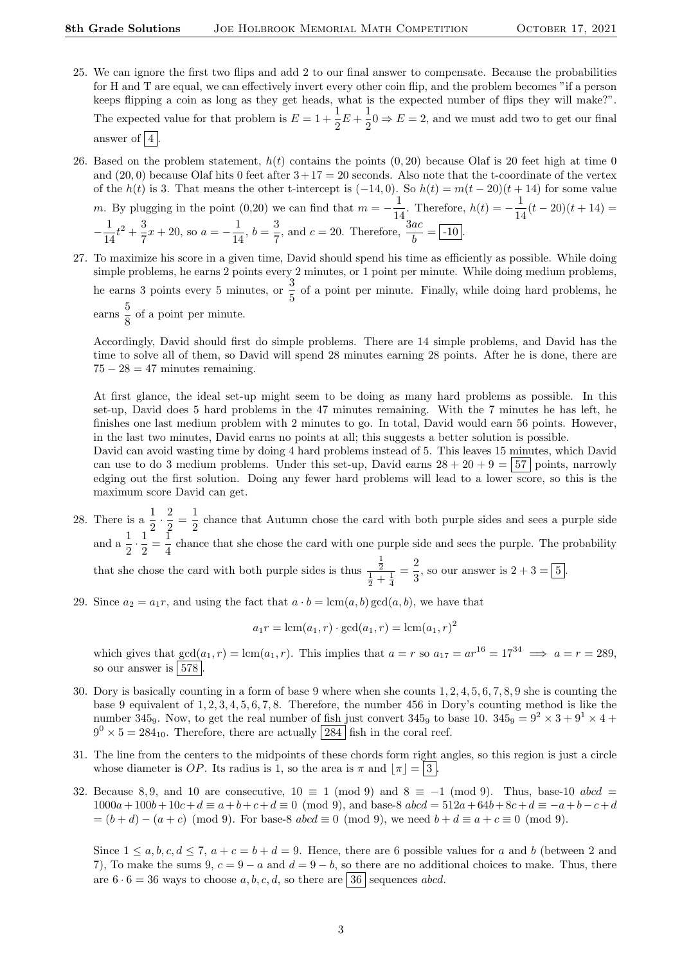- 25. We can ignore the first two flips and add 2 to our final answer to compensate. Because the probabilities for H and T are equal, we can effectively invert every other coin flip, and the problem becomes "if a person keeps flipping a coin as long as they get heads, what is the expected number of flips they will make?". The expected value for that problem is  $E = 1 + \frac{1}{2}$  $\frac{1}{2}E + \frac{1}{2}$  $\frac{1}{2}$   $0 \Rightarrow E = 2$ , and we must add two to get our final answer of  $|4|$
- 26. Based on the problem statement,  $h(t)$  contains the points  $(0, 20)$  because Olaf is 20 feet high at time 0 and (20, 0) because Olaf hits 0 feet after  $3+17=20$  seconds. Also note that the t-coordinate of the vertex of the  $h(t)$  is 3. That means the other t-intercept is  $(-14, 0)$ . So  $h(t) = m(t - 20)(t + 14)$  for some value m. By plugging in the point (0,20) we can find that  $m = -\frac{1}{1}$  $\frac{1}{14}$ . Therefore,  $h(t) = -\frac{1}{14}$  $\frac{1}{14}(t-20)(t+14) =$  $-\frac{1}{1}$  $\frac{1}{14}t^2 + \frac{3}{7}$  $\frac{3}{7}x + 20$ , so  $a = -\frac{1}{14}$  $\frac{1}{14}$ ,  $b = \frac{3}{7}$  $\frac{3}{7}$ , and  $c = 20$ . Therefore,  $\frac{3ac}{b} = -10$ .
- 27. To maximize his score in a given time, David should spend his time as efficiently as possible. While doing simple problems, he earns 2 points every 2 minutes, or 1 point per minute. While doing medium problems, he earns 3 points every 5 minutes, or  $\frac{3}{5}$  of a point per minute. Finally, while doing hard problems, he  $\frac{5}{6}$  $\frac{8}{8}$  of a point per minute.

Accordingly, David should first do simple problems. There are 14 simple problems, and David has the time to solve all of them, so David will spend 28 minutes earning 28 points. After he is done, there are  $75 - 28 = 47$  minutes remaining.

At first glance, the ideal set-up might seem to be doing as many hard problems as possible. In this set-up, David does 5 hard problems in the 47 minutes remaining. With the 7 minutes he has left, he finishes one last medium problem with 2 minutes to go. In total, David would earn 56 points. However, in the last two minutes, David earns no points at all; this suggests a better solution is possible.

David can avoid wasting time by doing 4 hard problems instead of 5. This leaves 15 minutes, which David can use to do 3 medium problems. Under this set-up, David earns  $28 + 20 + 9 = 57$  points, narrowly edging out the first solution. Doing any fewer hard problems will lead to a lower score, so this is the maximum score David can get.

28. There is a  $\frac{1}{2} \cdot \frac{2}{2}$  $\frac{2}{2} = \frac{1}{2}$  $\frac{1}{2}$  chance that Autumn chose the card with both purple sides and sees a purple side and  $a \frac{1}{2} \cdot \frac{1}{2} = \frac{1}{4}$  chance that she chose the card with one purple side and sees the purple. The probability 1 1 that she chose the card with both purple sides is thus  $\frac{1}{2}$ <br> $\frac{1}{2} + \frac{1}{4}$  $=\frac{2}{2}$  $\frac{2}{3}$ , so our answer is  $2 + 3 = 5$ .

29. Since  $a_2 = a_1r$ , and using the fact that  $a \cdot b = \text{lcm}(a, b) \text{ gcd}(a, b)$ , we have that

$$
a_1r = \text{lcm}(a_1, r) \cdot \text{gcd}(a_1, r) = \text{lcm}(a_1, r)^2
$$

which gives that  $gcd(a_1, r) = lcm(a_1, r)$ . This implies that  $a = r$  so  $a_{17} = ar^{16} = 17^{34} \implies a = r = 289$ . so our answer is  $|578|$ 

- 30. Dory is basically counting in a form of base 9 where when she counts 1, 2, 4, 5, 6, 7, 8, 9 she is counting the base 9 equivalent of 1, 2, 3, 4, 5, 6, 7, 8. Therefore, the number 456 in Dory's counting method is like the number 345<sub>9</sub>. Now, to get the real number of fish just convert 345<sub>9</sub> to base 10.  $345<sub>9</sub> = 9<sup>2</sup> \times 3 + 9<sup>1</sup> \times 4 +$  $9^0 \times 5 = 284_{10}$ . Therefore, there are actually [284] fish in the coral reef.
- 31. The line from the centers to the midpoints of these chords form right angles, so this region is just a circle whose diameter is OP. Its radius is 1, so the area is  $\pi$  and  $|\pi| = |3|$ .
- 32. Because 8,9, and 10 are consecutive,  $10 \equiv 1 \pmod{9}$  and  $8 \equiv -1 \pmod{9}$ . Thus, base-10 abcd =  $1000a + 100b + 10c + d \equiv a + b + c + d \equiv 0 \pmod{9}$ , and base-8  $abcd = 512a + 64b + 8c + d \equiv -a + b - c + d$  $=(b+d)-(a+c) \pmod{9}$ . For base-8  $abcd \equiv 0 \pmod{9}$ , we need  $b+d \equiv a+c \equiv 0 \pmod{9}$ .

Since  $1 \le a, b, c, d \le 7$ ,  $a + c = b + d = 9$ . Hence, there are 6 possible values for a and b (between 2 and 7), To make the sums 9,  $c = 9 - a$  and  $d = 9 - b$ , so there are no additional choices to make. Thus, there are  $6 \cdot 6 = 36$  ways to choose a, b, c, d, so there are  $\boxed{36}$  sequences abcd.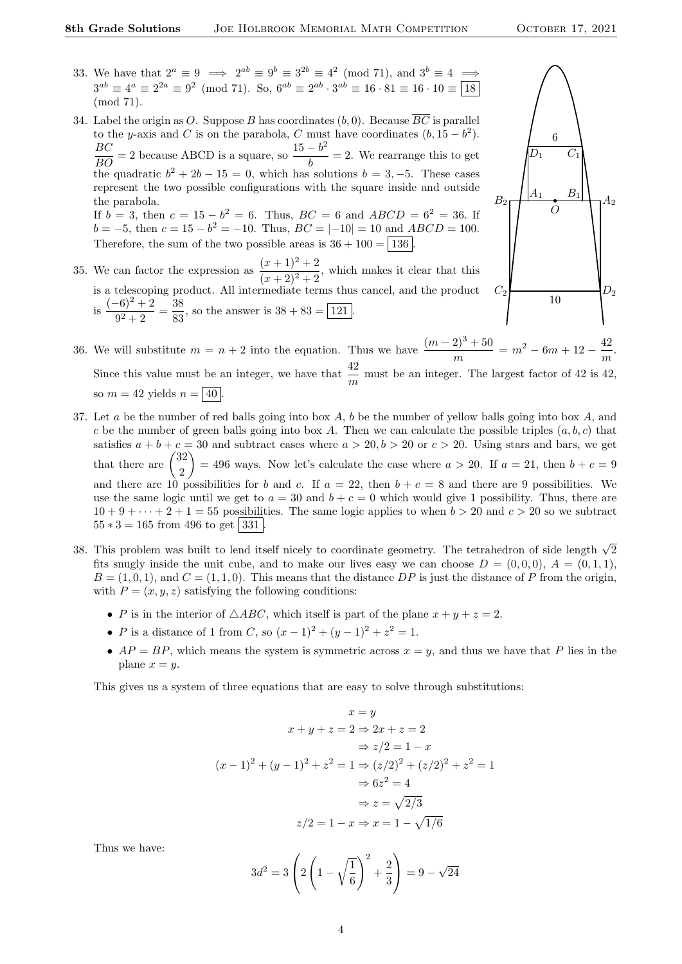- 33. We have that  $2^a \equiv 9 \implies 2^{ab} \equiv 9^b \equiv 3^{2b} \equiv 4^2 \pmod{71}$ , and  $3^b \equiv 4 \implies$  $3^{ab} \equiv 4^a \equiv 2^{2a} \equiv 9^2 \pmod{71}$ . So,  $6^{ab} \equiv 2^{ab} \cdot 3^{ab} \equiv 16 \cdot 81 \equiv 16 \cdot 10 \equiv \boxed{18}$ (mod 71).
- 34. Label the origin as O. Suppose B has coordinates  $(b, 0)$ . Because  $\overline{BC}$  is parallel to the y-axis and C is on the parabola, C must have coordinates  $(b, 15 - b^2)$ .  $\frac{BC}{BO} = 2$  because ABCD is a square, so  $\frac{15 - b^2}{b}$  $\frac{b}{b}$  = 2. We rearrange this to get the quadratic  $b^2 + 2b - 15 = 0$ , which has solutions  $b = 3, -5$ . These cases represent the two possible configurations with the square inside and outside the parabola. If  $b = 3$ , then  $c = 15 - b^2 = 6$ . Thus,  $BC = 6$  and  $ABCD = 6^2 = 36$ . If  $b = -5$ , then  $c = 15 - b^2 = -10$ . Thus,  $BC = |-10| = 10$  and  $ABCD = 100$ . Therefore, the sum of the two possible areas is  $36 + 100 = | 136 |$ .
- 35. We can factor the expression as  $\frac{(x+1)^2+2}{(x+2)^2+2}$ , which makes it clear that this is a telescoping product. All intermediate terms thus cancel, and the product is  $\frac{(-6)^2 + 2}{2}$  $\frac{(-6)^2 + 2}{9^2 + 2} = \frac{38}{83}$  $\frac{38}{83}$ , so the answer is  $38 + 83 = 121$ .



- 36. We will substitute  $m = n + 2$  into the equation. Thus we have  $\frac{(m-2)^3 + 50}{m} = m^2 6m + 12 \frac{42}{m}$  $\frac{12}{m}$ . Since this value must be an integer, we have that  $\frac{42}{m}$  must be an integer. The largest factor of 42 is 42, so  $m = 42$  yields  $n = 40$
- 37. Let a be the number of red balls going into box  $A$ ,  $b$  be the number of yellow balls going into box  $A$ , and c be the number of green balls going into box A. Then we can calculate the possible triples  $(a, b, c)$  that satisfies  $a + b + c = 30$  and subtract cases where  $a > 20, b > 20$  or  $c > 20$ . Using stars and bars, we get that there are  $\binom{32}{8}$ 2 = 496 ways. Now let's calculate the case where  $a > 20$ . If  $a = 21$ , then  $b + c = 9$ and there are 10 possibilities for b and c. If  $a = 22$ , then  $b + c = 8$  and there are 9 possibilities. We use the same logic until we get to  $a = 30$  and  $b + c = 0$  which would give 1 possibility. Thus, there are  $10 + 9 + \cdots + 2 + 1 = 55$  possibilities. The same logic applies to when  $b > 20$  and  $c > 20$  so we subtract  $55 * 3 = 165$  from 496 to get  $|331|$
- 38. This problem was built to lend itself nicely to coordinate geometry. The tetrahedron of side length  $\sqrt{2}$ fits snugly inside the unit cube, and to make our lives easy we can choose  $D = (0, 0, 0), A = (0, 1, 1),$  $B = (1, 0, 1)$ , and  $C = (1, 1, 0)$ . This means that the distance DP is just the distance of P from the origin, with  $P = (x, y, z)$  satisfying the following conditions:
	- P is in the interior of  $\triangle ABC$ , which itself is part of the plane  $x + y + z = 2$ .
	- *P* is a distance of 1 from *C*, so  $(x 1)^2 + (y 1)^2 + z^2 = 1$ .
	- $AP = BP$ , which means the system is symmetric across  $x = y$ , and thus we have that P lies in the plane  $x = y$ .

This gives us a system of three equations that are easy to solve through substitutions:

$$
x = y
$$
  
\n
$$
x + y + z = 2 \Rightarrow 2x + z = 2
$$
  
\n
$$
\Rightarrow z/2 = 1 - x
$$
  
\n
$$
(x - 1)^2 + (y - 1)^2 + z^2 = 1 \Rightarrow (z/2)^2 + (z/2)^2 + z^2 = 1
$$
  
\n
$$
\Rightarrow 6z^2 = 4
$$
  
\n
$$
\Rightarrow z = \sqrt{2/3}
$$
  
\n
$$
z/2 = 1 - x \Rightarrow x = 1 - \sqrt{1/6}
$$

Thus we have:

$$
3d^{2} = 3\left(2\left(1 - \sqrt{\frac{1}{6}}\right)^{2} + \frac{2}{3}\right) = 9 - \sqrt{24}
$$

4